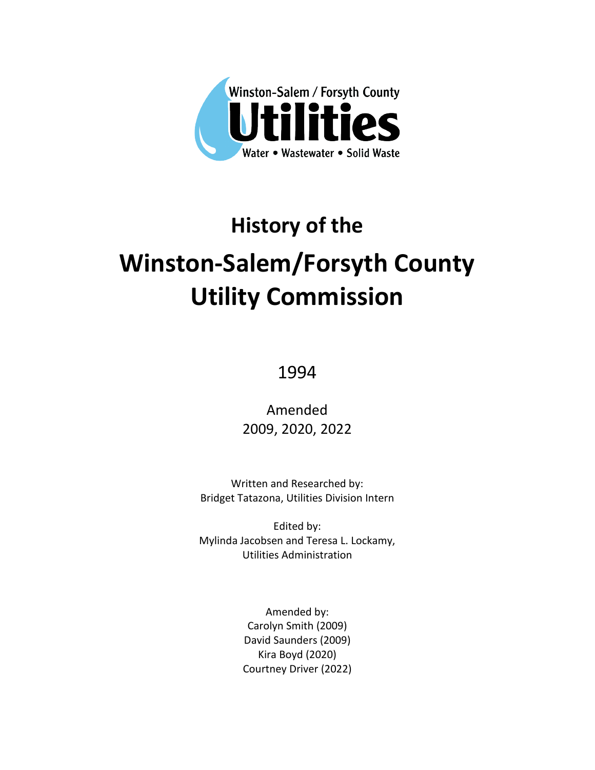

# **History of the Winston-Salem/Forsyth County Utility Commission**

1994

Amended 2009, 2020, 2022

Written and Researched by: Bridget Tatazona, Utilities Division Intern

Edited by: Mylinda Jacobsen and Teresa L. Lockamy, Utilities Administration

> Amended by: Carolyn Smith (2009) David Saunders (2009) Kira Boyd (2020) Courtney Driver (2022)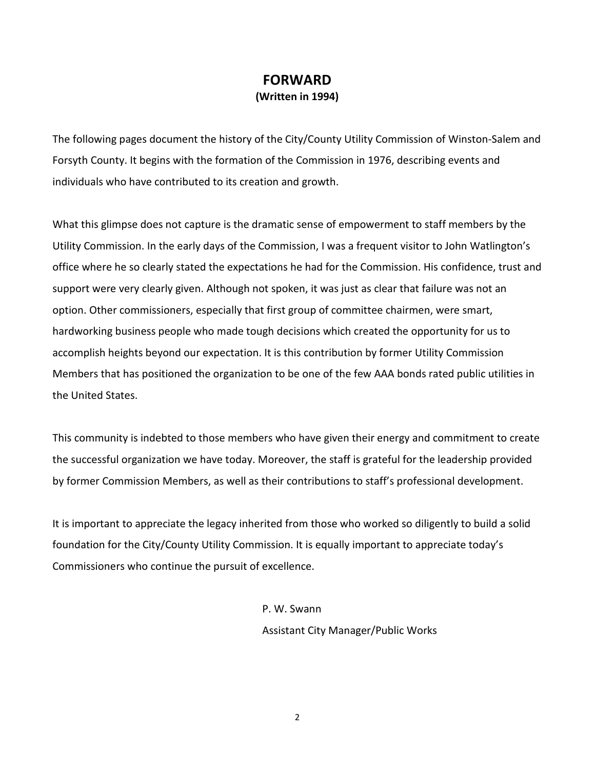# **FORWARD (Written in 1994)**

The following pages document the history of the City/County Utility Commission of Winston-Salem and Forsyth County. It begins with the formation of the Commission in 1976, describing events and individuals who have contributed to its creation and growth.

What this glimpse does not capture is the dramatic sense of empowerment to staff members by the Utility Commission. In the early days of the Commission, I was a frequent visitor to John Watlington's office where he so clearly stated the expectations he had for the Commission. His confidence, trust and support were very clearly given. Although not spoken, it was just as clear that failure was not an option. Other commissioners, especially that first group of committee chairmen, were smart, hardworking business people who made tough decisions which created the opportunity for us to accomplish heights beyond our expectation. It is this contribution by former Utility Commission Members that has positioned the organization to be one of the few AAA bonds rated public utilities in the United States.

This community is indebted to those members who have given their energy and commitment to create the successful organization we have today. Moreover, the staff is grateful for the leadership provided by former Commission Members, as well as their contributions to staff's professional development.

It is important to appreciate the legacy inherited from those who worked so diligently to build a solid foundation for the City/County Utility Commission. It is equally important to appreciate today's Commissioners who continue the pursuit of excellence.

> P. W. Swann Assistant City Manager/Public Works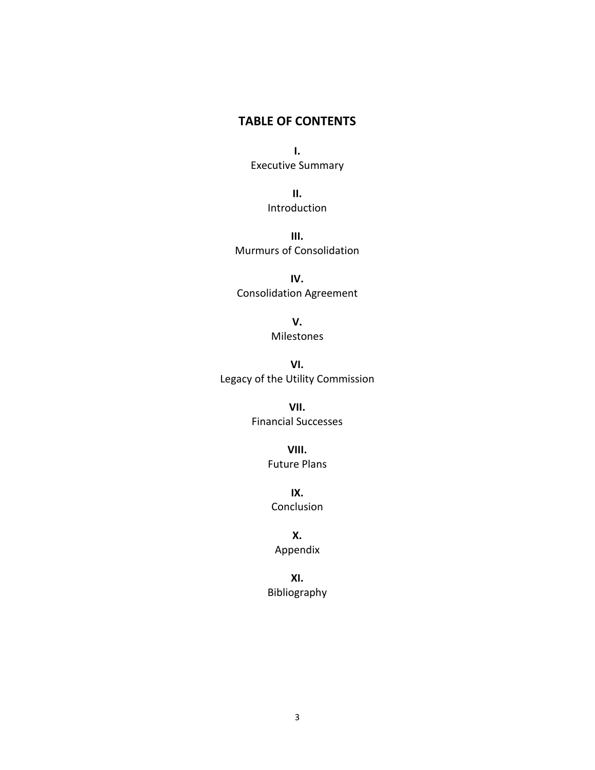# **TABLE OF CONTENTS**

**I.** Executive Summary

> **II.** Introduction

**III.** Murmurs of Consolidation

**IV.** Consolidation Agreement

> **V.** Milestones

**VI.** Legacy of the Utility Commission

> **VII.** Financial Successes

> > **VIII.** Future Plans

**IX.** Conclusion

**X.** Appendix

**XI.** Bibliography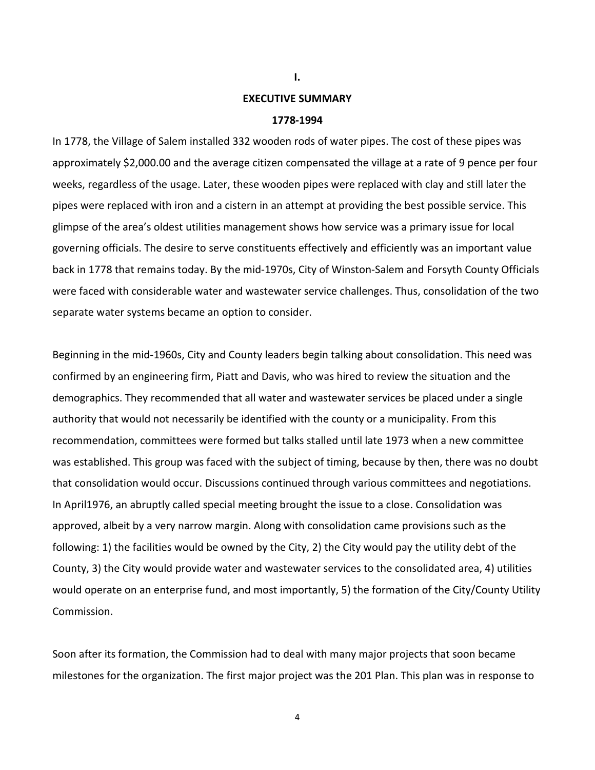# **EXECUTIVE SUMMARY**

**I.**

#### **1778-1994**

In 1778, the Village of Salem installed 332 wooden rods of water pipes. The cost of these pipes was approximately \$2,000.00 and the average citizen compensated the village at a rate of 9 pence per four weeks, regardless of the usage. Later, these wooden pipes were replaced with clay and still later the pipes were replaced with iron and a cistern in an attempt at providing the best possible service. This glimpse of the area's oldest utilities management shows how service was a primary issue for local governing officials. The desire to serve constituents effectively and efficiently was an important value back in 1778 that remains today. By the mid-1970s, City of Winston-Salem and Forsyth County Officials were faced with considerable water and wastewater service challenges. Thus, consolidation of the two separate water systems became an option to consider.

Beginning in the mid-1960s, City and County leaders begin talking about consolidation. This need was confirmed by an engineering firm, Piatt and Davis, who was hired to review the situation and the demographics. They recommended that all water and wastewater services be placed under a single authority that would not necessarily be identified with the county or a municipality. From this recommendation, committees were formed but talks stalled until late 1973 when a new committee was established. This group was faced with the subject of timing, because by then, there was no doubt that consolidation would occur. Discussions continued through various committees and negotiations. In April1976, an abruptly called special meeting brought the issue to a close. Consolidation was approved, albeit by a very narrow margin. Along with consolidation came provisions such as the following: 1) the facilities would be owned by the City, 2) the City would pay the utility debt of the County, 3) the City would provide water and wastewater services to the consolidated area, 4) utilities would operate on an enterprise fund, and most importantly, 5) the formation of the City/County Utility Commission.

Soon after its formation, the Commission had to deal with many major projects that soon became milestones for the organization. The first major project was the 201 Plan. This plan was in response to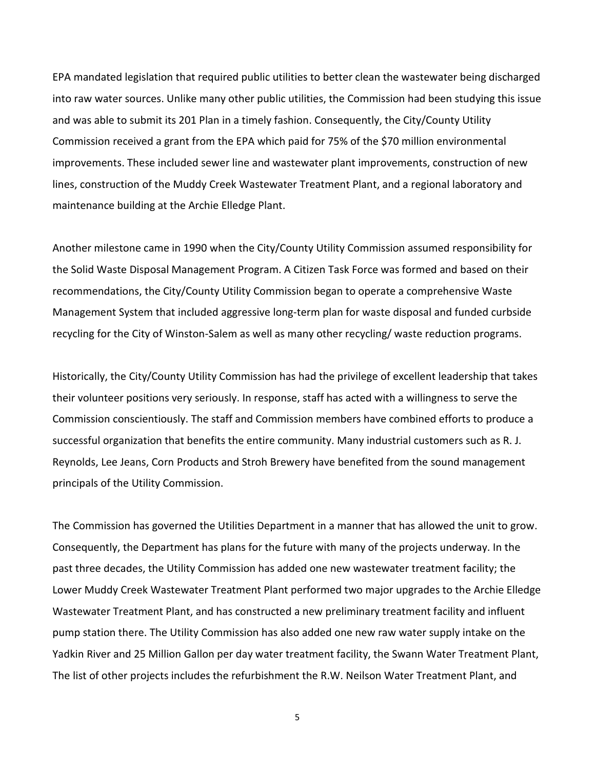EPA mandated legislation that required public utilities to better clean the wastewater being discharged into raw water sources. Unlike many other public utilities, the Commission had been studying this issue and was able to submit its 201 Plan in a timely fashion. Consequently, the City/County Utility Commission received a grant from the EPA which paid for 75% of the \$70 million environmental improvements. These included sewer line and wastewater plant improvements, construction of new lines, construction of the Muddy Creek Wastewater Treatment Plant, and a regional laboratory and maintenance building at the Archie Elledge Plant.

Another milestone came in 1990 when the City/County Utility Commission assumed responsibility for the Solid Waste Disposal Management Program. A Citizen Task Force was formed and based on their recommendations, the City/County Utility Commission began to operate a comprehensive Waste Management System that included aggressive long-term plan for waste disposal and funded curbside recycling for the City of Winston-Salem as well as many other recycling/ waste reduction programs.

Historically, the City/County Utility Commission has had the privilege of excellent leadership that takes their volunteer positions very seriously. In response, staff has acted with a willingness to serve the Commission conscientiously. The staff and Commission members have combined efforts to produce a successful organization that benefits the entire community. Many industrial customers such as R. J. Reynolds, Lee Jeans, Corn Products and Stroh Brewery have benefited from the sound management principals of the Utility Commission.

The Commission has governed the Utilities Department in a manner that has allowed the unit to grow. Consequently, the Department has plans for the future with many of the projects underway. In the past three decades, the Utility Commission has added one new wastewater treatment facility; the Lower Muddy Creek Wastewater Treatment Plant performed two major upgrades to the Archie Elledge Wastewater Treatment Plant, and has constructed a new preliminary treatment facility and influent pump station there. The Utility Commission has also added one new raw water supply intake on the Yadkin River and 25 Million Gallon per day water treatment facility, the Swann Water Treatment Plant, The list of other projects includes the refurbishment the R.W. Neilson Water Treatment Plant, and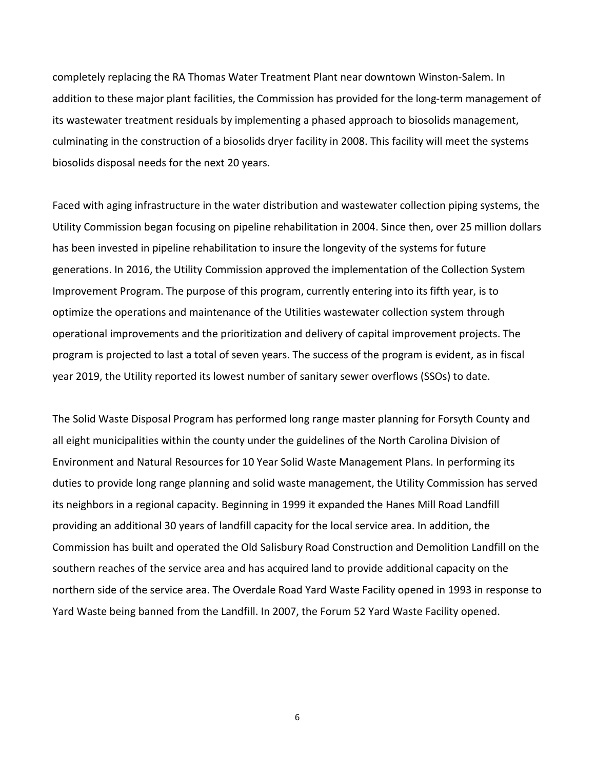completely replacing the RA Thomas Water Treatment Plant near downtown Winston-Salem. In addition to these major plant facilities, the Commission has provided for the long-term management of its wastewater treatment residuals by implementing a phased approach to biosolids management, culminating in the construction of a biosolids dryer facility in 2008. This facility will meet the systems biosolids disposal needs for the next 20 years.

Faced with aging infrastructure in the water distribution and wastewater collection piping systems, the Utility Commission began focusing on pipeline rehabilitation in 2004. Since then, over 25 million dollars has been invested in pipeline rehabilitation to insure the longevity of the systems for future generations. In 2016, the Utility Commission approved the implementation of the Collection System Improvement Program. The purpose of this program, currently entering into its fifth year, is to optimize the operations and maintenance of the Utilities wastewater collection system through operational improvements and the prioritization and delivery of capital improvement projects. The program is projected to last a total of seven years. The success of the program is evident, as in fiscal year 2019, the Utility reported its lowest number of sanitary sewer overflows (SSOs) to date.

The Solid Waste Disposal Program has performed long range master planning for Forsyth County and all eight municipalities within the county under the guidelines of the North Carolina Division of Environment and Natural Resources for 10 Year Solid Waste Management Plans. In performing its duties to provide long range planning and solid waste management, the Utility Commission has served its neighbors in a regional capacity. Beginning in 1999 it expanded the Hanes Mill Road Landfill providing an additional 30 years of landfill capacity for the local service area. In addition, the Commission has built and operated the Old Salisbury Road Construction and Demolition Landfill on the southern reaches of the service area and has acquired land to provide additional capacity on the northern side of the service area. The Overdale Road Yard Waste Facility opened in 1993 in response to Yard Waste being banned from the Landfill. In 2007, the Forum 52 Yard Waste Facility opened.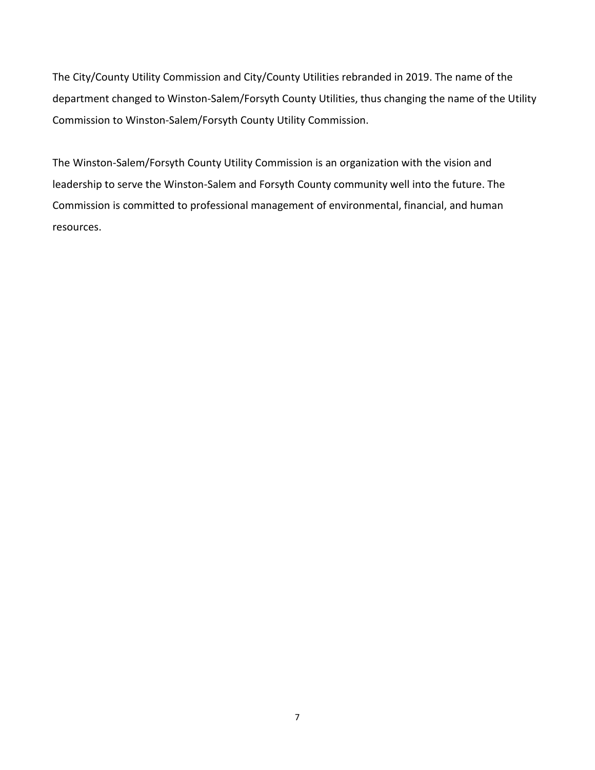The City/County Utility Commission and City/County Utilities rebranded in 2019. The name of the department changed to Winston-Salem/Forsyth County Utilities, thus changing the name of the Utility Commission to Winston-Salem/Forsyth County Utility Commission.

The Winston-Salem/Forsyth County Utility Commission is an organization with the vision and leadership to serve the Winston-Salem and Forsyth County community well into the future. The Commission is committed to professional management of environmental, financial, and human resources.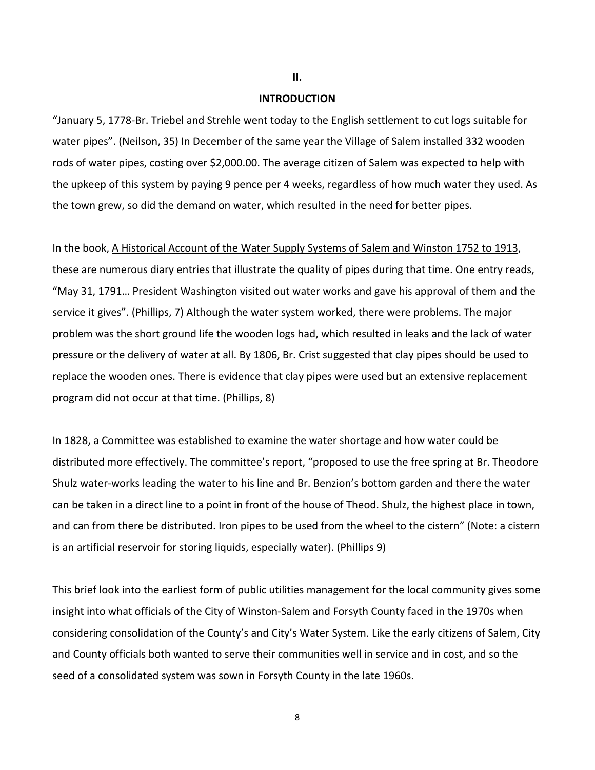**II.**

# **INTRODUCTION**

"January 5, 1778-Br. Triebel and Strehle went today to the English settlement to cut logs suitable for water pipes". (Neilson, 35) In December of the same year the Village of Salem installed 332 wooden rods of water pipes, costing over \$2,000.00. The average citizen of Salem was expected to help with the upkeep of this system by paying 9 pence per 4 weeks, regardless of how much water they used. As the town grew, so did the demand on water, which resulted in the need for better pipes.

In the book, A Historical Account of the Water Supply Systems of Salem and Winston 1752 to 1913, these are numerous diary entries that illustrate the quality of pipes during that time. One entry reads, "May 31, 1791… President Washington visited out water works and gave his approval of them and the service it gives". (Phillips, 7) Although the water system worked, there were problems. The major problem was the short ground life the wooden logs had, which resulted in leaks and the lack of water pressure or the delivery of water at all. By 1806, Br. Crist suggested that clay pipes should be used to replace the wooden ones. There is evidence that clay pipes were used but an extensive replacement program did not occur at that time. (Phillips, 8)

In 1828, a Committee was established to examine the water shortage and how water could be distributed more effectively. The committee's report, "proposed to use the free spring at Br. Theodore Shulz water-works leading the water to his line and Br. Benzion's bottom garden and there the water can be taken in a direct line to a point in front of the house of Theod. Shulz, the highest place in town, and can from there be distributed. Iron pipes to be used from the wheel to the cistern" (Note: a cistern is an artificial reservoir for storing liquids, especially water). (Phillips 9)

This brief look into the earliest form of public utilities management for the local community gives some insight into what officials of the City of Winston-Salem and Forsyth County faced in the 1970s when considering consolidation of the County's and City's Water System. Like the early citizens of Salem, City and County officials both wanted to serve their communities well in service and in cost, and so the seed of a consolidated system was sown in Forsyth County in the late 1960s.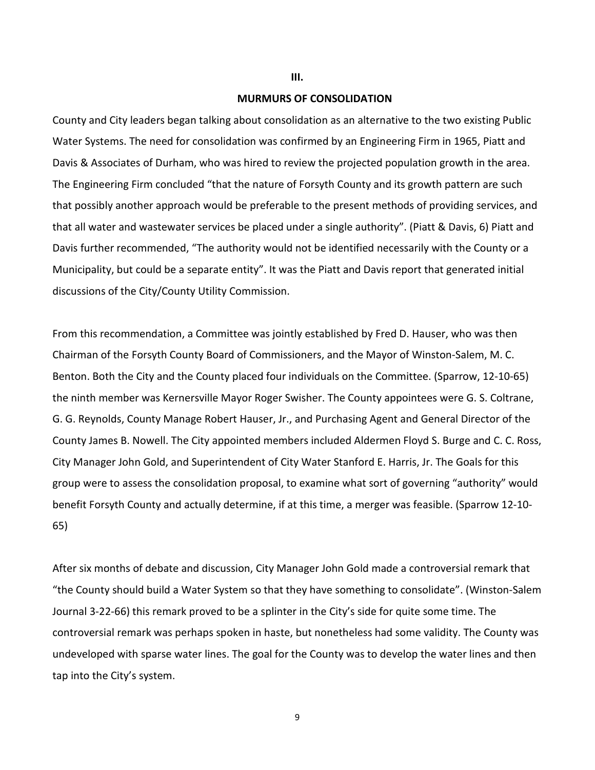## **MURMURS OF CONSOLIDATION**

**III.**

County and City leaders began talking about consolidation as an alternative to the two existing Public Water Systems. The need for consolidation was confirmed by an Engineering Firm in 1965, Piatt and Davis & Associates of Durham, who was hired to review the projected population growth in the area. The Engineering Firm concluded "that the nature of Forsyth County and its growth pattern are such that possibly another approach would be preferable to the present methods of providing services, and that all water and wastewater services be placed under a single authority". (Piatt & Davis, 6) Piatt and Davis further recommended, "The authority would not be identified necessarily with the County or a Municipality, but could be a separate entity". It was the Piatt and Davis report that generated initial discussions of the City/County Utility Commission.

From this recommendation, a Committee was jointly established by Fred D. Hauser, who was then Chairman of the Forsyth County Board of Commissioners, and the Mayor of Winston-Salem, M. C. Benton. Both the City and the County placed four individuals on the Committee. (Sparrow, 12-10-65) the ninth member was Kernersville Mayor Roger Swisher. The County appointees were G. S. Coltrane, G. G. Reynolds, County Manage Robert Hauser, Jr., and Purchasing Agent and General Director of the County James B. Nowell. The City appointed members included Aldermen Floyd S. Burge and C. C. Ross, City Manager John Gold, and Superintendent of City Water Stanford E. Harris, Jr. The Goals for this group were to assess the consolidation proposal, to examine what sort of governing "authority" would benefit Forsyth County and actually determine, if at this time, a merger was feasible. (Sparrow 12-10- 65)

After six months of debate and discussion, City Manager John Gold made a controversial remark that "the County should build a Water System so that they have something to consolidate". (Winston-Salem Journal 3-22-66) this remark proved to be a splinter in the City's side for quite some time. The controversial remark was perhaps spoken in haste, but nonetheless had some validity. The County was undeveloped with sparse water lines. The goal for the County was to develop the water lines and then tap into the City's system.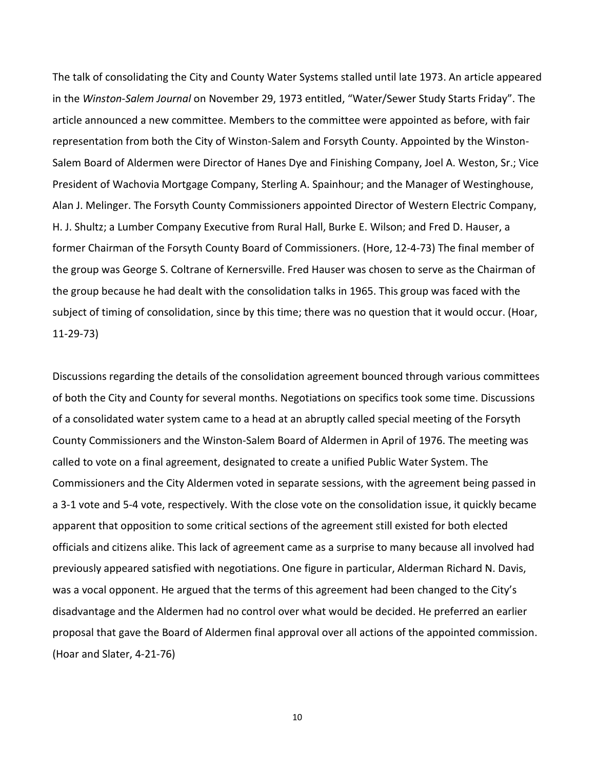The talk of consolidating the City and County Water Systems stalled until late 1973. An article appeared in the *Winston-Salem Journal* on November 29, 1973 entitled, "Water/Sewer Study Starts Friday". The article announced a new committee. Members to the committee were appointed as before, with fair representation from both the City of Winston-Salem and Forsyth County. Appointed by the Winston-Salem Board of Aldermen were Director of Hanes Dye and Finishing Company, Joel A. Weston, Sr.; Vice President of Wachovia Mortgage Company, Sterling A. Spainhour; and the Manager of Westinghouse, Alan J. Melinger. The Forsyth County Commissioners appointed Director of Western Electric Company, H. J. Shultz; a Lumber Company Executive from Rural Hall, Burke E. Wilson; and Fred D. Hauser, a former Chairman of the Forsyth County Board of Commissioners. (Hore, 12-4-73) The final member of the group was George S. Coltrane of Kernersville. Fred Hauser was chosen to serve as the Chairman of the group because he had dealt with the consolidation talks in 1965. This group was faced with the subject of timing of consolidation, since by this time; there was no question that it would occur. (Hoar, 11-29-73)

Discussions regarding the details of the consolidation agreement bounced through various committees of both the City and County for several months. Negotiations on specifics took some time. Discussions of a consolidated water system came to a head at an abruptly called special meeting of the Forsyth County Commissioners and the Winston-Salem Board of Aldermen in April of 1976. The meeting was called to vote on a final agreement, designated to create a unified Public Water System. The Commissioners and the City Aldermen voted in separate sessions, with the agreement being passed in a 3-1 vote and 5-4 vote, respectively. With the close vote on the consolidation issue, it quickly became apparent that opposition to some critical sections of the agreement still existed for both elected officials and citizens alike. This lack of agreement came as a surprise to many because all involved had previously appeared satisfied with negotiations. One figure in particular, Alderman Richard N. Davis, was a vocal opponent. He argued that the terms of this agreement had been changed to the City's disadvantage and the Aldermen had no control over what would be decided. He preferred an earlier proposal that gave the Board of Aldermen final approval over all actions of the appointed commission. (Hoar and Slater, 4-21-76)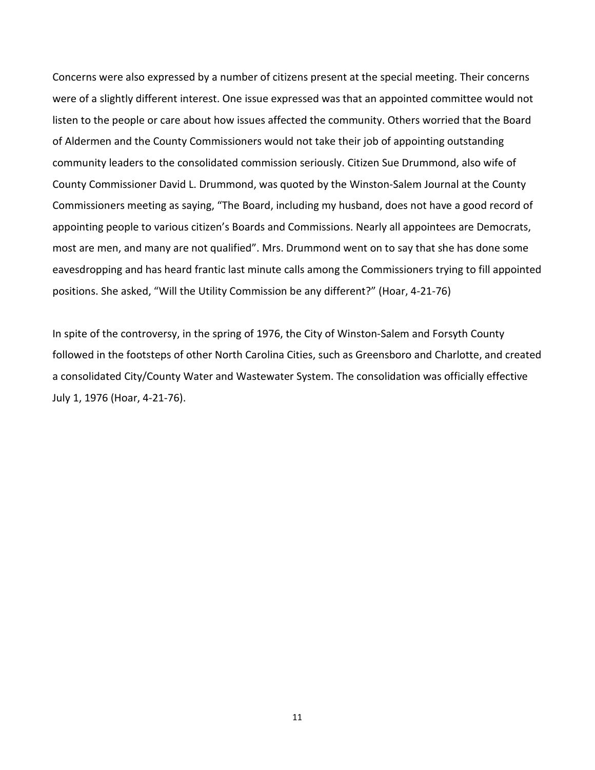Concerns were also expressed by a number of citizens present at the special meeting. Their concerns were of a slightly different interest. One issue expressed was that an appointed committee would not listen to the people or care about how issues affected the community. Others worried that the Board of Aldermen and the County Commissioners would not take their job of appointing outstanding community leaders to the consolidated commission seriously. Citizen Sue Drummond, also wife of County Commissioner David L. Drummond, was quoted by the Winston-Salem Journal at the County Commissioners meeting as saying, "The Board, including my husband, does not have a good record of appointing people to various citizen's Boards and Commissions. Nearly all appointees are Democrats, most are men, and many are not qualified". Mrs. Drummond went on to say that she has done some eavesdropping and has heard frantic last minute calls among the Commissioners trying to fill appointed positions. She asked, "Will the Utility Commission be any different?" (Hoar, 4-21-76)

In spite of the controversy, in the spring of 1976, the City of Winston-Salem and Forsyth County followed in the footsteps of other North Carolina Cities, such as Greensboro and Charlotte, and created a consolidated City/County Water and Wastewater System. The consolidation was officially effective July 1, 1976 (Hoar, 4-21-76).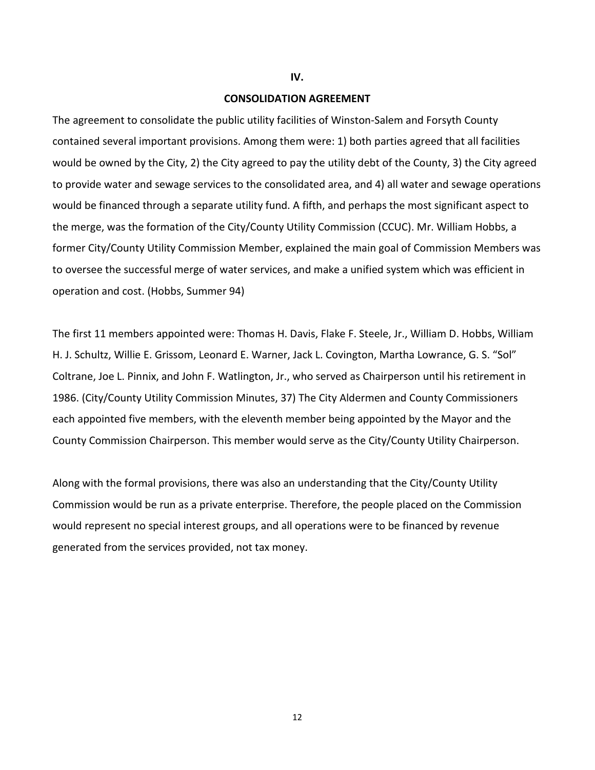## **IV.**

# **CONSOLIDATION AGREEMENT**

The agreement to consolidate the public utility facilities of Winston-Salem and Forsyth County contained several important provisions. Among them were: 1) both parties agreed that all facilities would be owned by the City, 2) the City agreed to pay the utility debt of the County, 3) the City agreed to provide water and sewage services to the consolidated area, and 4) all water and sewage operations would be financed through a separate utility fund. A fifth, and perhaps the most significant aspect to the merge, was the formation of the City/County Utility Commission (CCUC). Mr. William Hobbs, a former City/County Utility Commission Member, explained the main goal of Commission Members was to oversee the successful merge of water services, and make a unified system which was efficient in operation and cost. (Hobbs, Summer 94)

The first 11 members appointed were: Thomas H. Davis, Flake F. Steele, Jr., William D. Hobbs, William H. J. Schultz, Willie E. Grissom, Leonard E. Warner, Jack L. Covington, Martha Lowrance, G. S. "Sol" Coltrane, Joe L. Pinnix, and John F. Watlington, Jr., who served as Chairperson until his retirement in 1986. (City/County Utility Commission Minutes, 37) The City Aldermen and County Commissioners each appointed five members, with the eleventh member being appointed by the Mayor and the County Commission Chairperson. This member would serve as the City/County Utility Chairperson.

Along with the formal provisions, there was also an understanding that the City/County Utility Commission would be run as a private enterprise. Therefore, the people placed on the Commission would represent no special interest groups, and all operations were to be financed by revenue generated from the services provided, not tax money.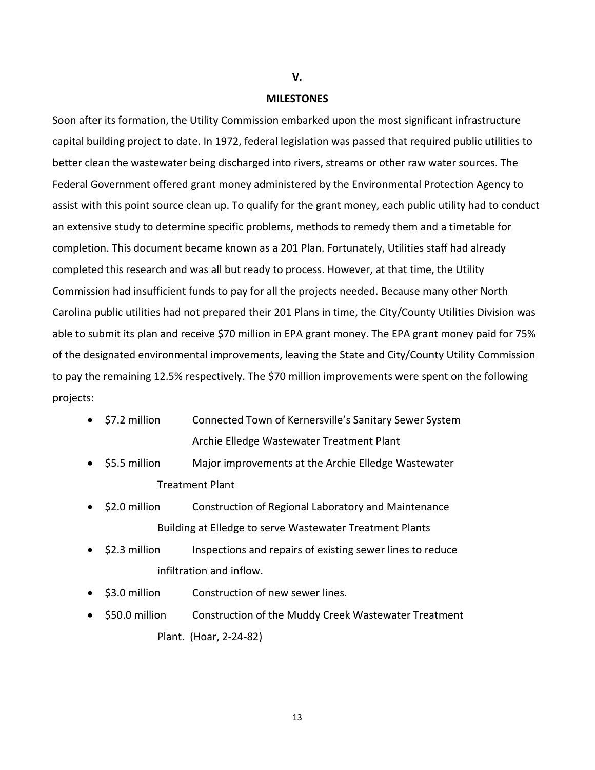## **V.**

# **MILESTONES**

Soon after its formation, the Utility Commission embarked upon the most significant infrastructure capital building project to date. In 1972, federal legislation was passed that required public utilities to better clean the wastewater being discharged into rivers, streams or other raw water sources. The Federal Government offered grant money administered by the Environmental Protection Agency to assist with this point source clean up. To qualify for the grant money, each public utility had to conduct an extensive study to determine specific problems, methods to remedy them and a timetable for completion. This document became known as a 201 Plan. Fortunately, Utilities staff had already completed this research and was all but ready to process. However, at that time, the Utility Commission had insufficient funds to pay for all the projects needed. Because many other North Carolina public utilities had not prepared their 201 Plans in time, the City/County Utilities Division was able to submit its plan and receive \$70 million in EPA grant money. The EPA grant money paid for 75% of the designated environmental improvements, leaving the State and City/County Utility Commission to pay the remaining 12.5% respectively. The \$70 million improvements were spent on the following projects:

| $\bullet$ \$7.2 million | Connected Town of Kernersville's Sanitary Sewer System |
|-------------------------|--------------------------------------------------------|
|                         | Archie Elledge Wastewater Treatment Plant              |

- \$5.5 million Major improvements at the Archie Elledge Wastewater Treatment Plant
- \$2.0 million Construction of Regional Laboratory and Maintenance Building at Elledge to serve Wastewater Treatment Plants
- \$2.3 million Inspections and repairs of existing sewer lines to reduce infiltration and inflow.
- \$3.0 million Construction of new sewer lines.
- \$50.0 million Construction of the Muddy Creek Wastewater Treatment Plant. (Hoar, 2-24-82)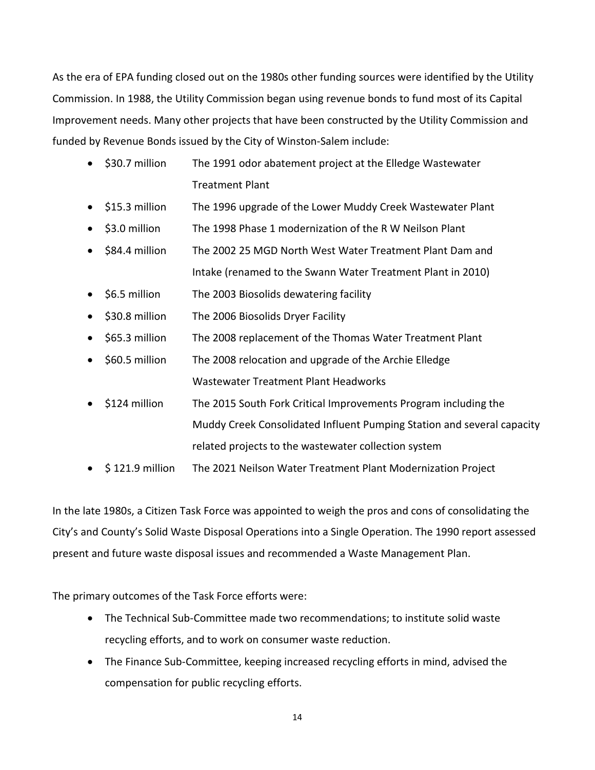As the era of EPA funding closed out on the 1980s other funding sources were identified by the Utility Commission. In 1988, the Utility Commission began using revenue bonds to fund most of its Capital Improvement needs. Many other projects that have been constructed by the Utility Commission and funded by Revenue Bonds issued by the City of Winston-Salem include:

- \$30.7 million The 1991 odor abatement project at the Elledge Wastewater Treatment Plant
- \$15.3 million The 1996 upgrade of the Lower Muddy Creek Wastewater Plant
- \$3.0 million The 1998 Phase 1 modernization of the R W Neilson Plant
- \$84.4 million The 2002 25 MGD North West Water Treatment Plant Dam and Intake (renamed to the Swann Water Treatment Plant in 2010)
- \$6.5 million The 2003 Biosolids dewatering facility
- \$30.8 million The 2006 Biosolids Dryer Facility
- \$65.3 million The 2008 replacement of the Thomas Water Treatment Plant
- \$60.5 million The 2008 relocation and upgrade of the Archie Elledge Wastewater Treatment Plant Headworks
- \$124 million The 2015 South Fork Critical Improvements Program including the Muddy Creek Consolidated Influent Pumping Station and several capacity related projects to the wastewater collection system
- \$ 121.9 million The 2021 Neilson Water Treatment Plant Modernization Project

In the late 1980s, a Citizen Task Force was appointed to weigh the pros and cons of consolidating the City's and County's Solid Waste Disposal Operations into a Single Operation. The 1990 report assessed present and future waste disposal issues and recommended a Waste Management Plan.

The primary outcomes of the Task Force efforts were:

- The Technical Sub-Committee made two recommendations; to institute solid waste recycling efforts, and to work on consumer waste reduction.
- The Finance Sub-Committee, keeping increased recycling efforts in mind, advised the compensation for public recycling efforts.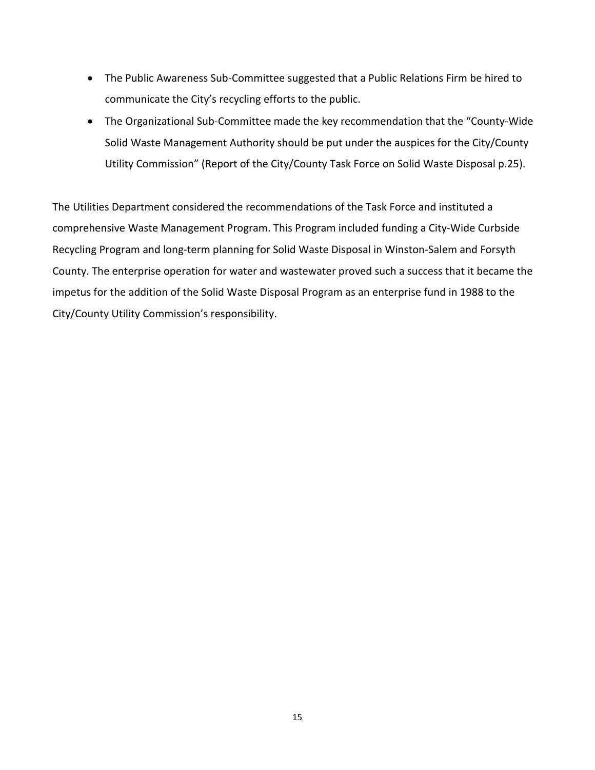- The Public Awareness Sub-Committee suggested that a Public Relations Firm be hired to communicate the City's recycling efforts to the public.
- The Organizational Sub-Committee made the key recommendation that the "County-Wide Solid Waste Management Authority should be put under the auspices for the City/County Utility Commission" (Report of the City/County Task Force on Solid Waste Disposal p.25).

The Utilities Department considered the recommendations of the Task Force and instituted a comprehensive Waste Management Program. This Program included funding a City-Wide Curbside Recycling Program and long-term planning for Solid Waste Disposal in Winston-Salem and Forsyth County. The enterprise operation for water and wastewater proved such a success that it became the impetus for the addition of the Solid Waste Disposal Program as an enterprise fund in 1988 to the City/County Utility Commission's responsibility.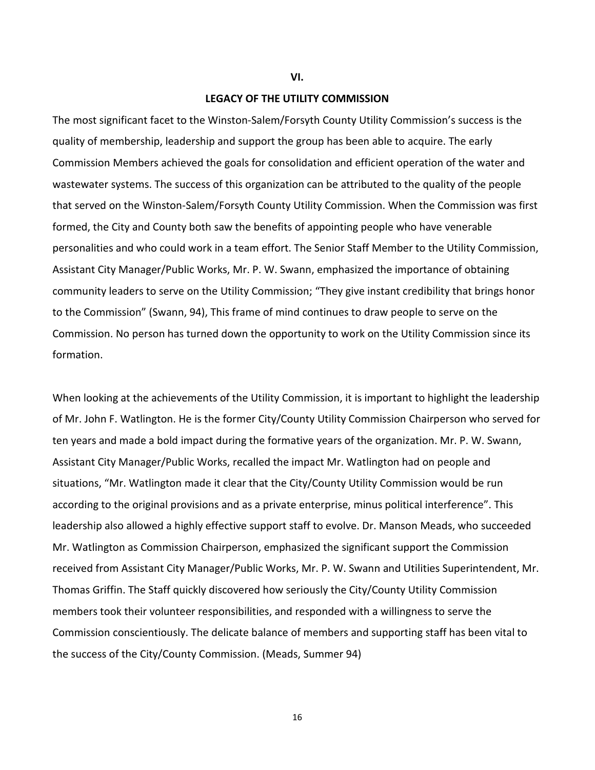#### **VI.**

# **LEGACY OF THE UTILITY COMMISSION**

The most significant facet to the Winston-Salem/Forsyth County Utility Commission's success is the quality of membership, leadership and support the group has been able to acquire. The early Commission Members achieved the goals for consolidation and efficient operation of the water and wastewater systems. The success of this organization can be attributed to the quality of the people that served on the Winston-Salem/Forsyth County Utility Commission. When the Commission was first formed, the City and County both saw the benefits of appointing people who have venerable personalities and who could work in a team effort. The Senior Staff Member to the Utility Commission, Assistant City Manager/Public Works, Mr. P. W. Swann, emphasized the importance of obtaining community leaders to serve on the Utility Commission; "They give instant credibility that brings honor to the Commission" (Swann, 94), This frame of mind continues to draw people to serve on the Commission. No person has turned down the opportunity to work on the Utility Commission since its formation.

When looking at the achievements of the Utility Commission, it is important to highlight the leadership of Mr. John F. Watlington. He is the former City/County Utility Commission Chairperson who served for ten years and made a bold impact during the formative years of the organization. Mr. P. W. Swann, Assistant City Manager/Public Works, recalled the impact Mr. Watlington had on people and situations, "Mr. Watlington made it clear that the City/County Utility Commission would be run according to the original provisions and as a private enterprise, minus political interference". This leadership also allowed a highly effective support staff to evolve. Dr. Manson Meads, who succeeded Mr. Watlington as Commission Chairperson, emphasized the significant support the Commission received from Assistant City Manager/Public Works, Mr. P. W. Swann and Utilities Superintendent, Mr. Thomas Griffin. The Staff quickly discovered how seriously the City/County Utility Commission members took their volunteer responsibilities, and responded with a willingness to serve the Commission conscientiously. The delicate balance of members and supporting staff has been vital to the success of the City/County Commission. (Meads, Summer 94)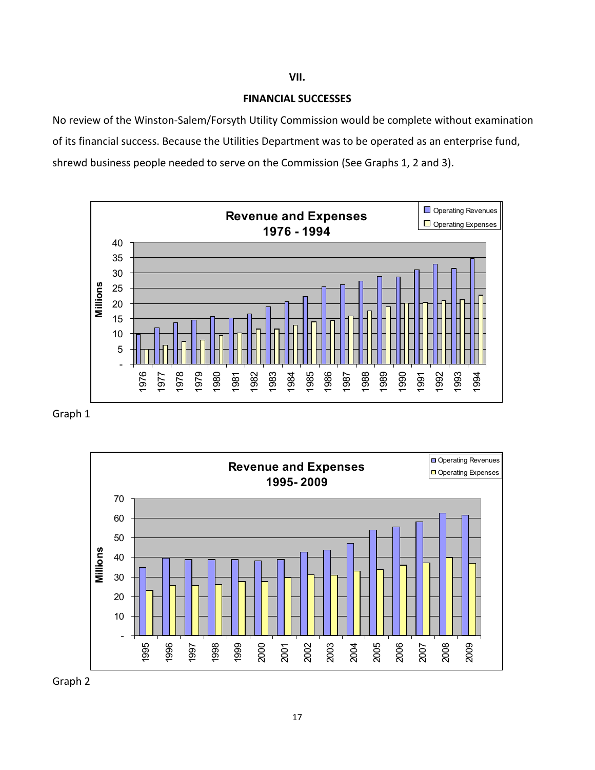# **FINANCIAL SUCCESSES**

No review of the Winston-Salem/Forsyth Utility Commission would be complete without examination of its financial success. Because the Utilities Department was to be operated as an enterprise fund, shrewd business people needed to serve on the Commission (See Graphs 1, 2 and 3).



Graph 1



Graph 2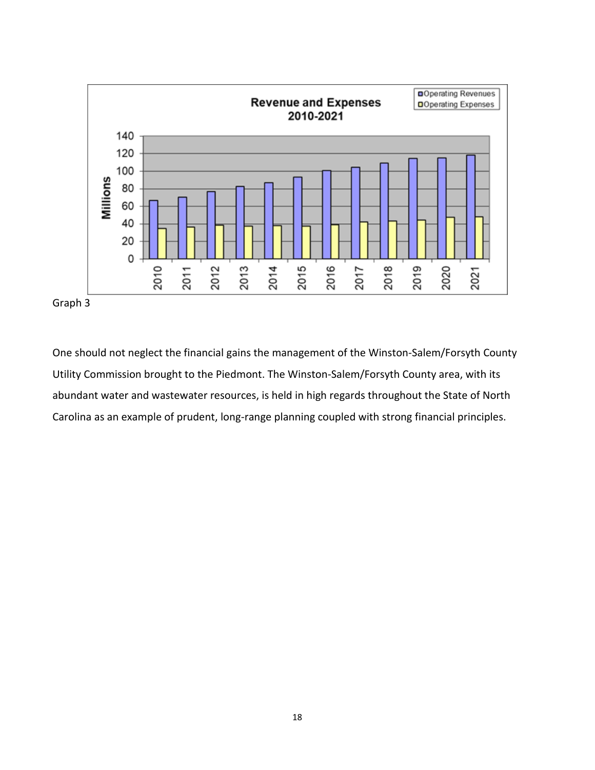

One should not neglect the financial gains the management of the Winston-Salem/Forsyth County Utility Commission brought to the Piedmont. The Winston-Salem/Forsyth County area, with its abundant water and wastewater resources, is held in high regards throughout the State of North Carolina as an example of prudent, long-range planning coupled with strong financial principles.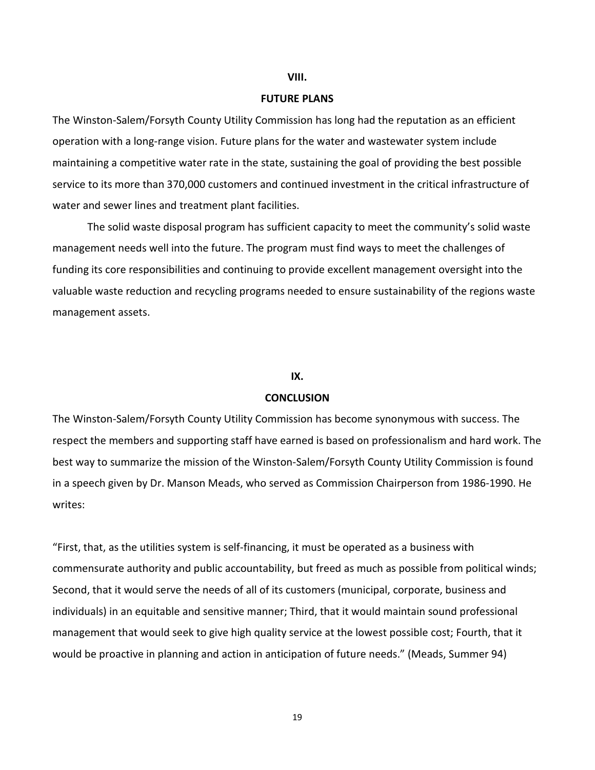# **VIII.**

# **FUTURE PLANS**

The Winston-Salem/Forsyth County Utility Commission has long had the reputation as an efficient operation with a long-range vision. Future plans for the water and wastewater system include maintaining a competitive water rate in the state, sustaining the goal of providing the best possible service to its more than 370,000 customers and continued investment in the critical infrastructure of water and sewer lines and treatment plant facilities.

The solid waste disposal program has sufficient capacity to meet the community's solid waste management needs well into the future. The program must find ways to meet the challenges of funding its core responsibilities and continuing to provide excellent management oversight into the valuable waste reduction and recycling programs needed to ensure sustainability of the regions waste management assets.

# **IX.**

# **CONCLUSION**

The Winston-Salem/Forsyth County Utility Commission has become synonymous with success. The respect the members and supporting staff have earned is based on professionalism and hard work. The best way to summarize the mission of the Winston-Salem/Forsyth County Utility Commission is found in a speech given by Dr. Manson Meads, who served as Commission Chairperson from 1986-1990. He writes:

"First, that, as the utilities system is self-financing, it must be operated as a business with commensurate authority and public accountability, but freed as much as possible from political winds; Second, that it would serve the needs of all of its customers (municipal, corporate, business and individuals) in an equitable and sensitive manner; Third, that it would maintain sound professional management that would seek to give high quality service at the lowest possible cost; Fourth, that it would be proactive in planning and action in anticipation of future needs." (Meads, Summer 94)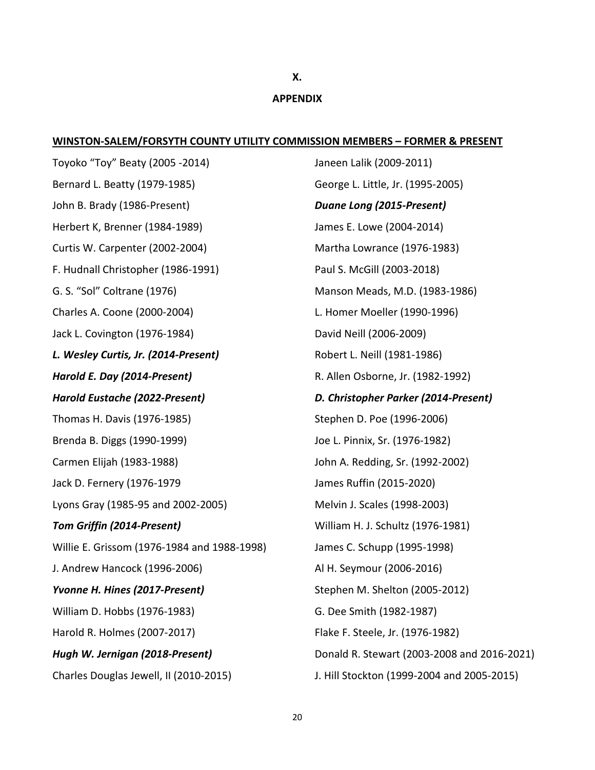# **X. APPENDIX**

# **WINSTON-SALEM/FORSYTH COUNTY UTILITY COMMISSION MEMBERS – FORMER & PRESENT**

Toyoko "Toy" Beaty (2005 -2014) Bernard L. Beatty (1979-1985) John B. Brady (1986-Present) Herbert K, Brenner (1984-1989) Curtis W. Carpenter (2002-2004) F. Hudnall Christopher (1986-1991) G. S. "Sol" Coltrane (1976) Charles A. Coone (2000-2004) Jack L. Covington (1976-1984) *L. Wesley Curtis, Jr. (2014-Present) Harold E. Day (2014-Present) Harold Eustache (2022-Present)* Thomas H. Davis (1976-1985) Brenda B. Diggs (1990-1999) Carmen Elijah (1983-1988) Jack D. Fernery (1976-1979 Lyons Gray (1985-95 and 2002-2005) *Tom Griffin (2014-Present)* Willie E. Grissom (1976-1984 and 1988-1998) J. Andrew Hancock (1996-2006) *Yvonne H. Hines (2017-Present)* William D. Hobbs (1976-1983) Harold R. Holmes (2007-2017) *Hugh W. Jernigan (2018-Present)* Charles Douglas Jewell, II (2010-2015)

Janeen Lalik (2009-2011) George L. Little, Jr. (1995-2005) *Duane Long (2015-Present)* James E. Lowe (2004-2014) Martha Lowrance (1976-1983) Paul S. McGill (2003-2018) Manson Meads, M.D. (1983-1986) L. Homer Moeller (1990-1996) David Neill (2006-2009) Robert L. Neill (1981-1986) R. Allen Osborne, Jr. (1982-1992) *D. Christopher Parker (2014-Present)* Stephen D. Poe (1996-2006) Joe L. Pinnix, Sr. (1976-1982) John A. Redding, Sr. (1992-2002) James Ruffin (2015-2020) Melvin J. Scales (1998-2003) William H. J. Schultz (1976-1981) James C. Schupp (1995-1998) Al H. Seymour (2006-2016) Stephen M. Shelton (2005-2012) G. Dee Smith (1982-1987) Flake F. Steele, Jr. (1976-1982) Donald R. Stewart (2003-2008 and 2016-2021) J. Hill Stockton (1999-2004 and 2005-2015)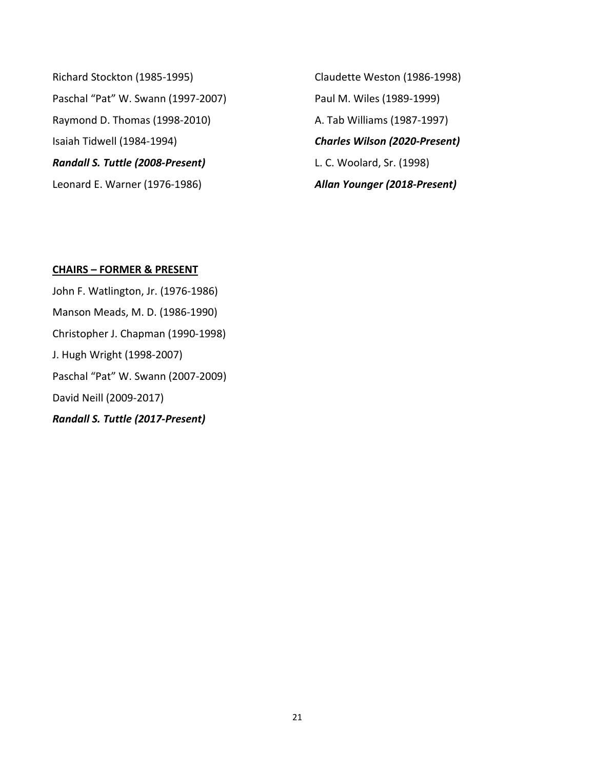Richard Stockton (1985-1995) Paschal "Pat" W. Swann (1997-2007) Raymond D. Thomas (1998-2010) Isaiah Tidwell (1984-1994) *Randall S. Tuttle (2008-Present)* Leonard E. Warner (1976-1986)

Claudette Weston (1986-1998) Paul M. Wiles (1989-1999) A. Tab Williams (1987-1997) *Charles Wilson (2020-Present)* L. C. Woolard, Sr. (1998) *Allan Younger (2018-Present)*

# **CHAIRS – FORMER & PRESENT**

John F. Watlington, Jr. (1976-1986) Manson Meads, M. D. (1986-1990) Christopher J. Chapman (1990-1998) J. Hugh Wright (1998-2007) Paschal "Pat" W. Swann (2007-2009) David Neill (2009-2017) *Randall S. Tuttle (2017-Present)*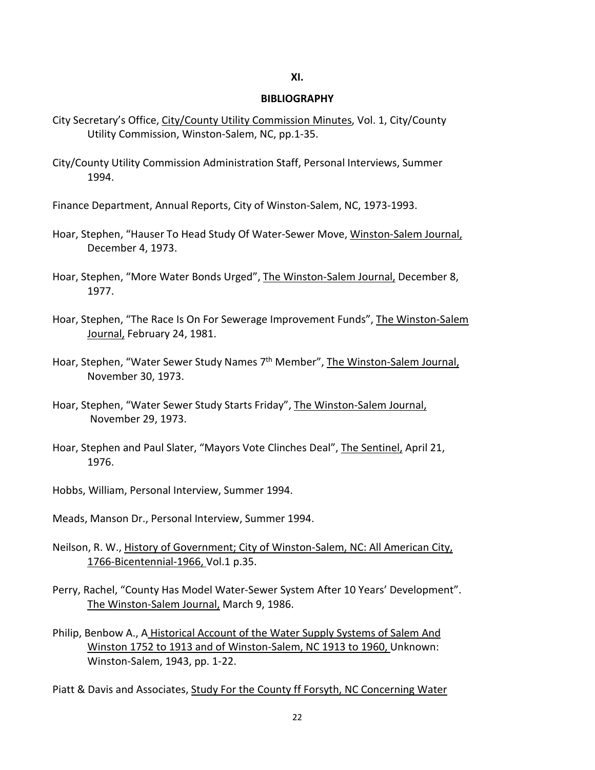# **XI.**

## **BIBLIOGRAPHY**

- City Secretary's Office, City/County Utility Commission Minutes, Vol. 1, City/County Utility Commission, Winston-Salem, NC, pp.1-35.
- City/County Utility Commission Administration Staff, Personal Interviews, Summer 1994.
- Finance Department, Annual Reports, City of Winston-Salem, NC, 1973-1993.
- Hoar, Stephen, "Hauser To Head Study Of Water-Sewer Move, Winston-Salem Journal, December 4, 1973.
- Hoar, Stephen, "More Water Bonds Urged", The Winston-Salem Journal, December 8, 1977.
- Hoar, Stephen, "The Race Is On For Sewerage Improvement Funds", The Winston-Salem Journal, February 24, 1981.
- Hoar, Stephen, "Water Sewer Study Names 7<sup>th</sup> Member", The Winston-Salem Journal, November 30, 1973.
- Hoar, Stephen, "Water Sewer Study Starts Friday", The Winston-Salem Journal, November 29, 1973.
- Hoar, Stephen and Paul Slater, "Mayors Vote Clinches Deal", The Sentinel, April 21, 1976.
- Hobbs, William, Personal Interview, Summer 1994.
- Meads, Manson Dr., Personal Interview, Summer 1994.
- Neilson, R. W., History of Government; City of Winston-Salem, NC: All American City, 1766-Bicentennial-1966, Vol.1 p.35.
- Perry, Rachel, "County Has Model Water-Sewer System After 10 Years' Development". The Winston-Salem Journal, March 9, 1986.
- Philip, Benbow A., A Historical Account of the Water Supply Systems of Salem And Winston 1752 to 1913 and of Winston-Salem, NC 1913 to 1960, Unknown: Winston-Salem, 1943, pp. 1-22.

Piatt & Davis and Associates, Study For the County ff Forsyth, NC Concerning Water